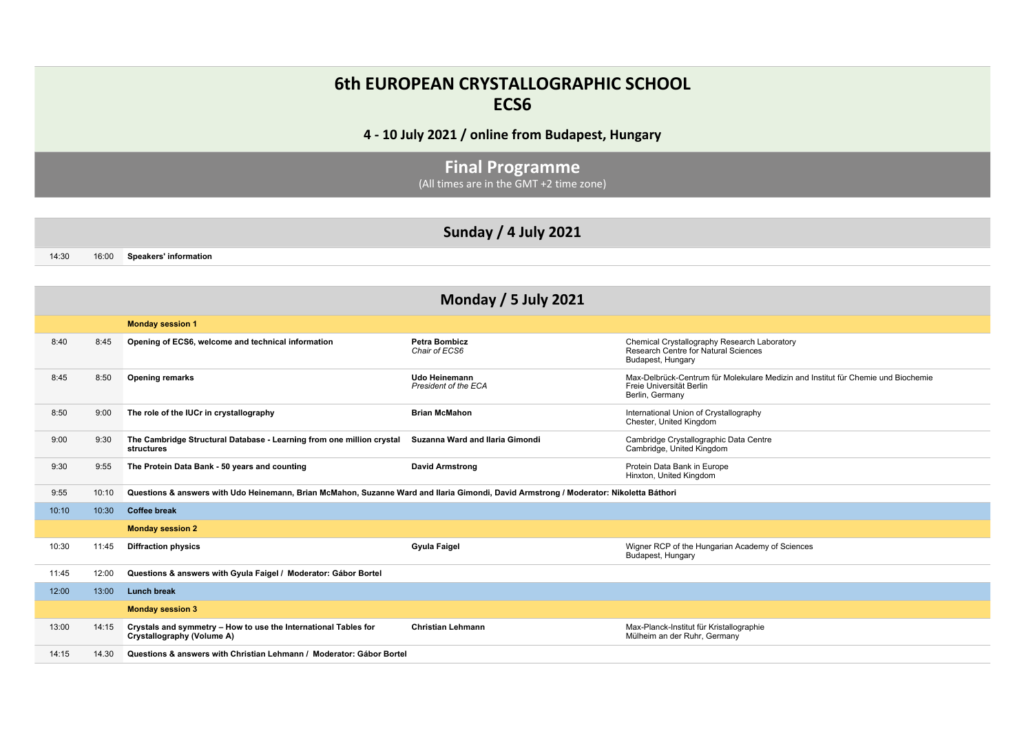## **6th EUROPEAN CRYSTALLOGRAPHIC SCHOOL ECS6**

**4 - 10 July 2021 / online from Budapest, Hungary**

**Final Programme** (All times are in the GMT +2 time zone)

14:30 16:00 **Speakers' information** 

|       | <b>Monday / 5 July 2021</b> |                                                                                                                                        |                                        |                                                                                                                                  |  |
|-------|-----------------------------|----------------------------------------------------------------------------------------------------------------------------------------|----------------------------------------|----------------------------------------------------------------------------------------------------------------------------------|--|
|       |                             | <b>Monday session 1</b>                                                                                                                |                                        |                                                                                                                                  |  |
| 8:40  | 8:45                        | Opening of ECS6, welcome and technical information                                                                                     | <b>Petra Bombicz</b><br>Chair of ECS6  | Chemical Crystallography Research Laboratory<br>Research Centre for Natural Sciences<br>Budapest, Hungary                        |  |
| 8:45  | 8:50                        | <b>Opening remarks</b>                                                                                                                 | Udo Heinemann<br>President of the ECA  | Max-Delbrück-Centrum für Molekulare Medizin and Institut für Chemie und Biochemie<br>Freie Universität Berlin<br>Berlin, Germany |  |
| 8:50  | 9:00                        | The role of the IUCr in crystallography                                                                                                | <b>Brian McMahon</b>                   | International Union of Crystallography<br>Chester, United Kingdom                                                                |  |
| 9:00  | 9:30                        | The Cambridge Structural Database - Learning from one million crystal<br>structures                                                    | <b>Suzanna Ward and Ilaria Gimondi</b> | Cambridge Crystallographic Data Centre<br>Cambridge, United Kingdom                                                              |  |
| 9:30  | 9:55                        | The Protein Data Bank - 50 years and counting                                                                                          | <b>David Armstrong</b>                 | Protein Data Bank in Europe<br>Hinxton, United Kingdom                                                                           |  |
| 9:55  | 10:10                       | Questions & answers with Udo Heinemann, Brian McMahon, Suzanne Ward and Ilaria Gimondi, David Armstrong / Moderator: Nikoletta Báthori |                                        |                                                                                                                                  |  |
| 10:10 | 10:30                       | <b>Coffee break</b>                                                                                                                    |                                        |                                                                                                                                  |  |
|       |                             | <b>Monday session 2</b>                                                                                                                |                                        |                                                                                                                                  |  |
| 10:30 | 11:45                       | <b>Diffraction physics</b>                                                                                                             | <b>Gyula Faigel</b>                    | Wigner RCP of the Hungarian Academy of Sciences<br>Budapest, Hungary                                                             |  |
| 11:45 | 12:00                       | Questions & answers with Gyula Faigel / Moderator: Gábor Bortel                                                                        |                                        |                                                                                                                                  |  |
| 12:00 | 13:00                       | <b>Lunch break</b>                                                                                                                     |                                        |                                                                                                                                  |  |
|       |                             | <b>Monday session 3</b>                                                                                                                |                                        |                                                                                                                                  |  |
| 13:00 | 14:15                       | Crystals and symmetry - How to use the International Tables for<br>Crystallography (Volume A)                                          | <b>Christian Lehmann</b>               | Max-Planck-Institut für Kristallographie<br>Mülheim an der Ruhr, Germany                                                         |  |
| 14:15 | 14.30                       | Questions & answers with Christian Lehmann / Moderator: Gábor Bortel                                                                   |                                        |                                                                                                                                  |  |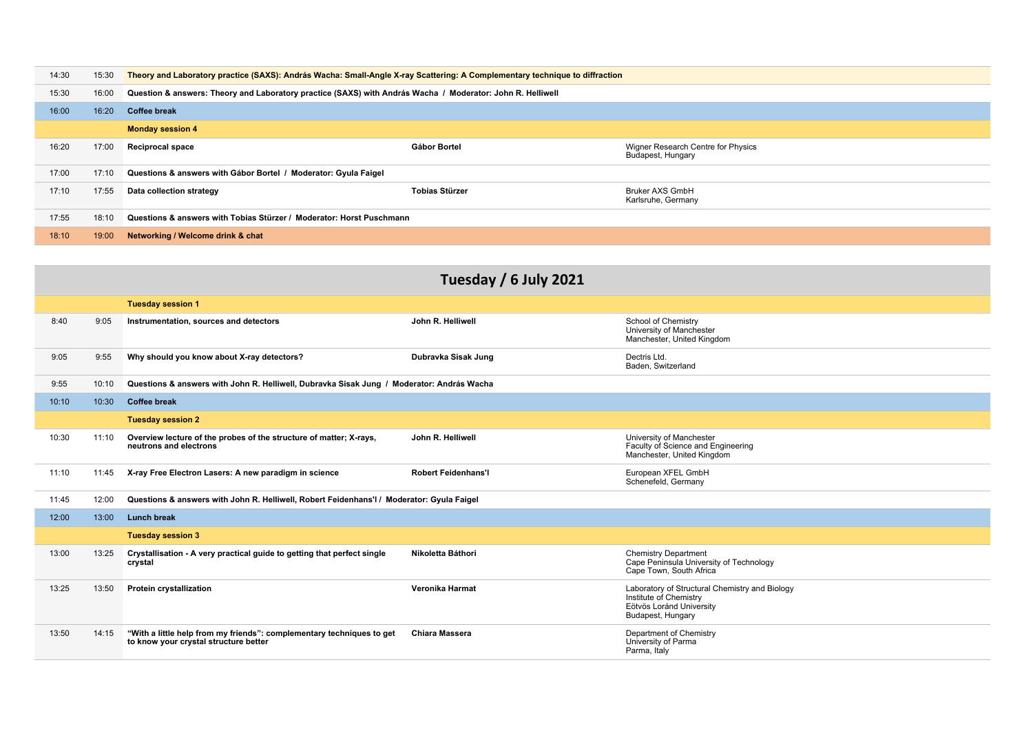| 14:30 | 15:30 | Theory and Laboratory practice (SAXS): András Wacha: Small-Angle X-ray Scattering: A Complementary technique to diffraction |                       |                                                         |  |
|-------|-------|-----------------------------------------------------------------------------------------------------------------------------|-----------------------|---------------------------------------------------------|--|
| 15:30 | 16:00 | Question & answers: Theory and Laboratory practice (SAXS) with András Wacha / Moderator: John R. Helliwell                  |                       |                                                         |  |
| 16:00 | 16:20 | <b>Coffee break</b>                                                                                                         |                       |                                                         |  |
|       |       | <b>Monday session 4</b>                                                                                                     |                       |                                                         |  |
| 16:20 | 17:00 | <b>Reciprocal space</b>                                                                                                     | Gábor Bortel          | Wigner Research Centre for Physics<br>Budapest, Hungary |  |
| 17:00 | 17:10 | Questions & answers with Gábor Bortel / Moderator: Gyula Faigel                                                             |                       |                                                         |  |
| 17:10 | 17:55 | Data collection strategy                                                                                                    | <b>Tobias Stürzer</b> | <b>Bruker AXS GmbH</b><br>Karlsruhe, Germany            |  |
| 17:55 | 18:10 | Questions & answers with Tobias Stürzer / Moderator: Horst Puschmann                                                        |                       |                                                         |  |
| 18:10 | 19:00 | Networking / Welcome drink & chat                                                                                           |                       |                                                         |  |
|       |       |                                                                                                                             |                       |                                                         |  |

|       | Tuesday / 6 July 2021 |                                                                                                                |                            |                                                                                                                           |  |
|-------|-----------------------|----------------------------------------------------------------------------------------------------------------|----------------------------|---------------------------------------------------------------------------------------------------------------------------|--|
|       |                       | <b>Tuesday session 1</b>                                                                                       |                            |                                                                                                                           |  |
| 8:40  | 9:05                  | Instrumentation, sources and detectors                                                                         | John R. Helliwell          | School of Chemistry<br>University of Manchester<br>Manchester, United Kingdom                                             |  |
| 9:05  | 9:55                  | Why should you know about X-ray detectors?                                                                     | Dubravka Sisak Jung        | Dectris Ltd.<br>Baden, Switzerland                                                                                        |  |
| 9:55  | 10:10                 | Questions & answers with John R. Helliwell, Dubravka Sisak Jung / Moderator: András Wacha                      |                            |                                                                                                                           |  |
| 10:10 | 10:30                 | <b>Coffee break</b>                                                                                            |                            |                                                                                                                           |  |
|       |                       | <b>Tuesday session 2</b>                                                                                       |                            |                                                                                                                           |  |
| 10:30 | 11:10                 | Overview lecture of the probes of the structure of matter; X-rays,<br>neutrons and electrons                   | John R. Helliwell          | University of Manchester<br>Faculty of Science and Engineering<br>Manchester, United Kingdom                              |  |
| 11:10 | 11:45                 | X-ray Free Electron Lasers: A new paradigm in science                                                          | <b>Robert Feidenhans'l</b> | European XFEL GmbH<br>Schenefeld, Germany                                                                                 |  |
| 11:45 | 12:00                 | Questions & answers with John R. Helliwell, Robert Feidenhans'l / Moderator: Gyula Faigel                      |                            |                                                                                                                           |  |
| 12:00 | 13:00                 | <b>Lunch break</b>                                                                                             |                            |                                                                                                                           |  |
|       |                       | <b>Tuesday session 3</b>                                                                                       |                            |                                                                                                                           |  |
| 13:00 | 13:25                 | Crystallisation - A very practical guide to getting that perfect single<br>crystal                             | Nikoletta Báthori          | <b>Chemistry Department</b><br>Cape Peninsula University of Technology<br>Cape Town, South Africa                         |  |
| 13:25 | 13:50                 | <b>Protein crystallization</b>                                                                                 | Veronika Harmat            | Laboratory of Structural Chemistry and Biology<br>Institute of Chemistry<br>Eötvös Loránd University<br>Budapest, Hungary |  |
| 13:50 | 14:15                 | "With a little help from my friends": complementary techniques to get<br>to know your crystal structure better | <b>Chiara Massera</b>      | Department of Chemistry<br>University of Parma<br>Parma, Italy                                                            |  |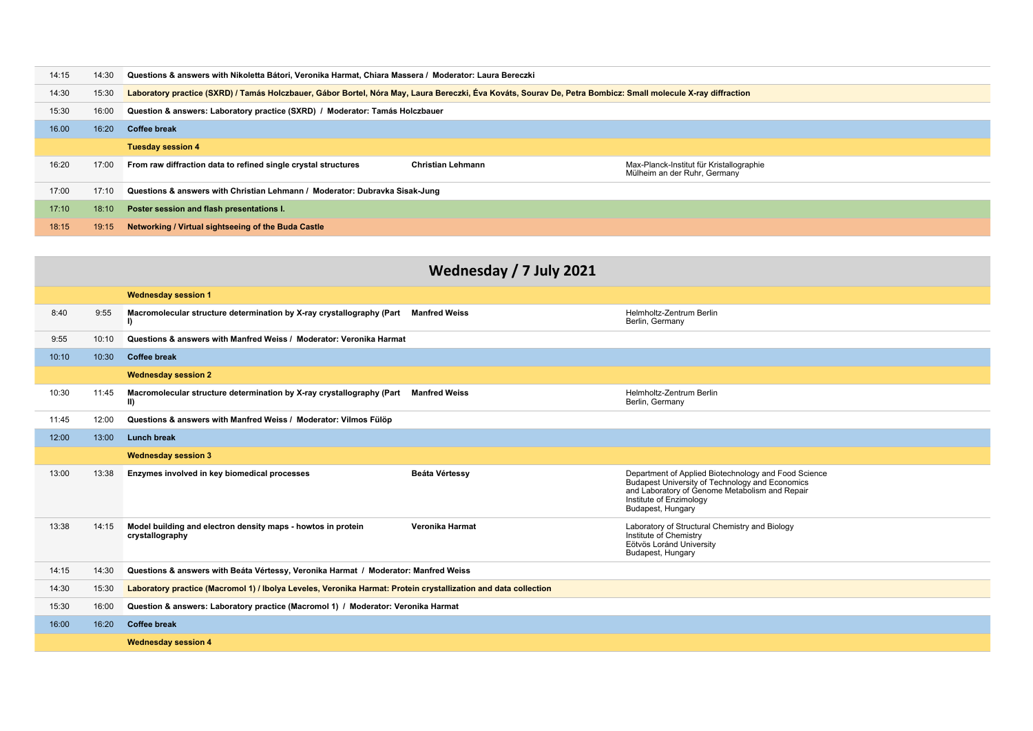| 14:15 | 14:30 | Questions & answers with Nikoletta Bátori, Veronika Harmat, Chiara Massera / Moderator: Laura Bereczki                                                                 |  |  |  |
|-------|-------|------------------------------------------------------------------------------------------------------------------------------------------------------------------------|--|--|--|
| 14:30 | 15:30 | Laboratory practice (SXRD) / Tamás Holczbauer, Gábor Bortel, Nóra May, Laura Bereczki, Éva Kováts, Sourav De, Petra Bombicz: Small molecule X-ray diffraction          |  |  |  |
| 15:30 | 16:00 | Question & answers: Laboratory practice (SXRD) / Moderator: Tamás Holczbauer                                                                                           |  |  |  |
| 16.00 | 16:20 | <b>Coffee break</b>                                                                                                                                                    |  |  |  |
|       |       | <b>Tuesday session 4</b>                                                                                                                                               |  |  |  |
| 16:20 | 17:00 | <b>Christian Lehmann</b><br>From raw diffraction data to refined single crystal structures<br>Max-Planck-Institut für Kristallographie<br>Mülheim an der Ruhr, Germany |  |  |  |
| 17:00 | 17:10 | Questions & answers with Christian Lehmann / Moderator: Dubravka Sisak-Jung                                                                                            |  |  |  |
| 17:10 | 18:10 | Poster session and flash presentations I.                                                                                                                              |  |  |  |
| 18:15 | 19:15 | Networking / Virtual sightseeing of the Buda Castle                                                                                                                    |  |  |  |

|       | Wednesday / 7 July 2021 |                                                                                                                 |                      |                                                                                                                                                                                                           |  |
|-------|-------------------------|-----------------------------------------------------------------------------------------------------------------|----------------------|-----------------------------------------------------------------------------------------------------------------------------------------------------------------------------------------------------------|--|
|       |                         | <b>Wednesday session 1</b>                                                                                      |                      |                                                                                                                                                                                                           |  |
| 8:40  | 9:55                    | Macromolecular structure determination by X-ray crystallography (Part Manfred Weiss<br>I)                       |                      | Helmholtz-Zentrum Berlin<br>Berlin, Germany                                                                                                                                                               |  |
| 9:55  | 10:10                   | Questions & answers with Manfred Weiss / Moderator: Veronika Harmat                                             |                      |                                                                                                                                                                                                           |  |
| 10:10 | 10:30                   | <b>Coffee break</b>                                                                                             |                      |                                                                                                                                                                                                           |  |
|       |                         | <b>Wednesday session 2</b>                                                                                      |                      |                                                                                                                                                                                                           |  |
| 10:30 | 11:45                   | Macromolecular structure determination by X-ray crystallography (Part<br>$\vert$ II)                            | <b>Manfred Weiss</b> | Helmholtz-Zentrum Berlin<br>Berlin, Germany                                                                                                                                                               |  |
| 11:45 | 12:00                   | Questions & answers with Manfred Weiss / Moderator: Vilmos Fülöp                                                |                      |                                                                                                                                                                                                           |  |
| 12:00 | 13:00                   | <b>Lunch break</b>                                                                                              |                      |                                                                                                                                                                                                           |  |
|       |                         | <b>Wednesday session 3</b>                                                                                      |                      |                                                                                                                                                                                                           |  |
| 13:00 | 13:38                   | Enzymes involved in key biomedical processes                                                                    | Beáta Vértessy       | Department of Applied Biotechnology and Food Science<br>Budapest University of Technology and Economics<br>and Laboratory of Genome Metabolism and Repair<br>Institute of Enzimology<br>Budapest, Hungary |  |
| 13:38 | 14:15                   | Model building and electron density maps - howtos in protein<br>crystallography                                 | Veronika Harmat      | Laboratory of Structural Chemistry and Biology<br>Institute of Chemistry<br>Eötvös Loránd University<br>Budapest, Hungary                                                                                 |  |
| 14:15 | 14:30                   | Questions & answers with Beáta Vértessy, Veronika Harmat / Moderator: Manfred Weiss                             |                      |                                                                                                                                                                                                           |  |
| 14:30 | 15:30                   | Laboratory practice (Macromol 1) / Ibolya Leveles, Veronika Harmat: Protein crystallization and data collection |                      |                                                                                                                                                                                                           |  |
| 15:30 | 16:00                   | Question & answers: Laboratory practice (Macromol 1) / Moderator: Veronika Harmat                               |                      |                                                                                                                                                                                                           |  |
| 16:00 | 16:20                   | <b>Coffee break</b>                                                                                             |                      |                                                                                                                                                                                                           |  |
|       |                         | <b>Wednesday session 4</b>                                                                                      |                      |                                                                                                                                                                                                           |  |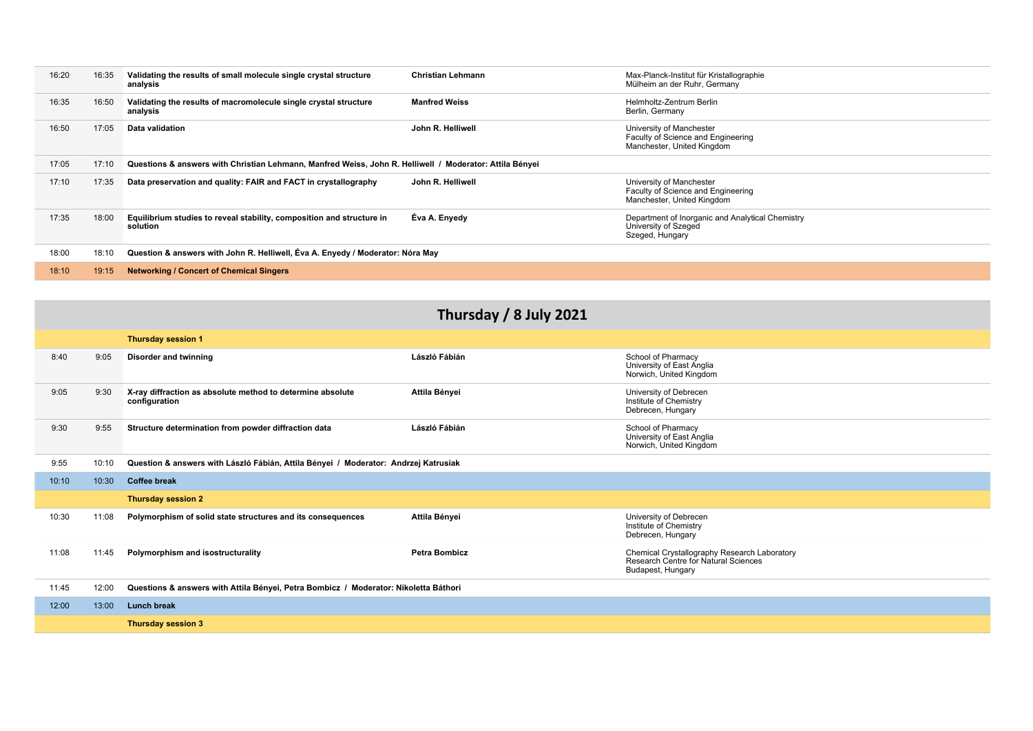| 16:20 | 16:35 | Validating the results of small molecule single crystal structure<br>analysis                           | <b>Christian Lehmann</b> | Max-Planck-Institut für Kristallographie<br>Mülheim an der Ruhr, Germany                     |
|-------|-------|---------------------------------------------------------------------------------------------------------|--------------------------|----------------------------------------------------------------------------------------------|
| 16:35 | 16:50 | Validating the results of macromolecule single crystal structure<br>analysis                            | <b>Manfred Weiss</b>     | Helmholtz-Zentrum Berlin<br>Berlin, Germany                                                  |
| 16:50 | 17:05 | Data validation                                                                                         | John R. Helliwell        | University of Manchester<br>Faculty of Science and Engineering<br>Manchester, United Kingdom |
| 17:05 | 17:10 | Questions & answers with Christian Lehmann, Manfred Weiss, John R. Helliwell / Moderator: Attila Bényei |                          |                                                                                              |
| 17:10 | 17:35 | Data preservation and quality: FAIR and FACT in crystallography                                         | John R. Helliwell        | University of Manchester<br>Faculty of Science and Engineering<br>Manchester, United Kingdom |
| 17:35 | 18:00 | Equilibrium studies to reveal stability, composition and structure in<br>solution                       | Éva A. Enyedy            | Department of Inorganic and Analytical Chemistry<br>University of Szeged<br>Szeged, Hungary  |
| 18:00 | 18:10 | Question & answers with John R. Helliwell, Eva A. Enyedy / Moderator: Nóra May                          |                          |                                                                                              |
| 18:10 | 19:15 | <b>Networking / Concert of Chemical Singers</b>                                                         |                          |                                                                                              |

|       | Thursday / 8 July 2021                                                                       |                                                                                      |                      |                                                                                                           |  |
|-------|----------------------------------------------------------------------------------------------|--------------------------------------------------------------------------------------|----------------------|-----------------------------------------------------------------------------------------------------------|--|
|       |                                                                                              | <b>Thursday session 1</b>                                                            |                      |                                                                                                           |  |
| 8:40  | 9:05                                                                                         | <b>Disorder and twinning</b>                                                         | László Fábián        | School of Pharmacy<br>University of East Anglia<br>Norwich, United Kingdom                                |  |
| 9:05  | 9:30                                                                                         | X-ray diffraction as absolute method to determine absolute<br>configuration          | Attila Bényei        | University of Debrecen<br>Institute of Chemistry<br>Debrecen, Hungary                                     |  |
| 9:30  | 9:55                                                                                         | Structure determination from powder diffraction data                                 | László Fábián        | School of Pharmacy<br>University of East Anglia<br>Norwich, United Kingdom                                |  |
| 9:55  | Question & answers with László Fábián, Attila Bényei / Moderator: Andrzej Katrusiak<br>10:10 |                                                                                      |                      |                                                                                                           |  |
| 10:10 | 10:30                                                                                        | <b>Coffee break</b>                                                                  |                      |                                                                                                           |  |
|       |                                                                                              | <b>Thursday session 2</b>                                                            |                      |                                                                                                           |  |
| 10:30 | 11:08                                                                                        | Polymorphism of solid state structures and its consequences                          | Attila Bényei        | University of Debrecen<br>Institute of Chemistry<br>Debrecen, Hungary                                     |  |
| 11:08 | 11:45                                                                                        | Polymorphism and isostructurality                                                    | <b>Petra Bombicz</b> | Chemical Crystallography Research Laboratory<br>Research Centre for Natural Sciences<br>Budapest, Hungary |  |
| 11:45 | 12:00                                                                                        | Questions & answers with Attila Bényei, Petra Bombicz / Moderator: Nikoletta Báthori |                      |                                                                                                           |  |
| 12:00 | 13:00                                                                                        | <b>Lunch break</b>                                                                   |                      |                                                                                                           |  |
|       |                                                                                              | <b>Thursday session 3</b>                                                            |                      |                                                                                                           |  |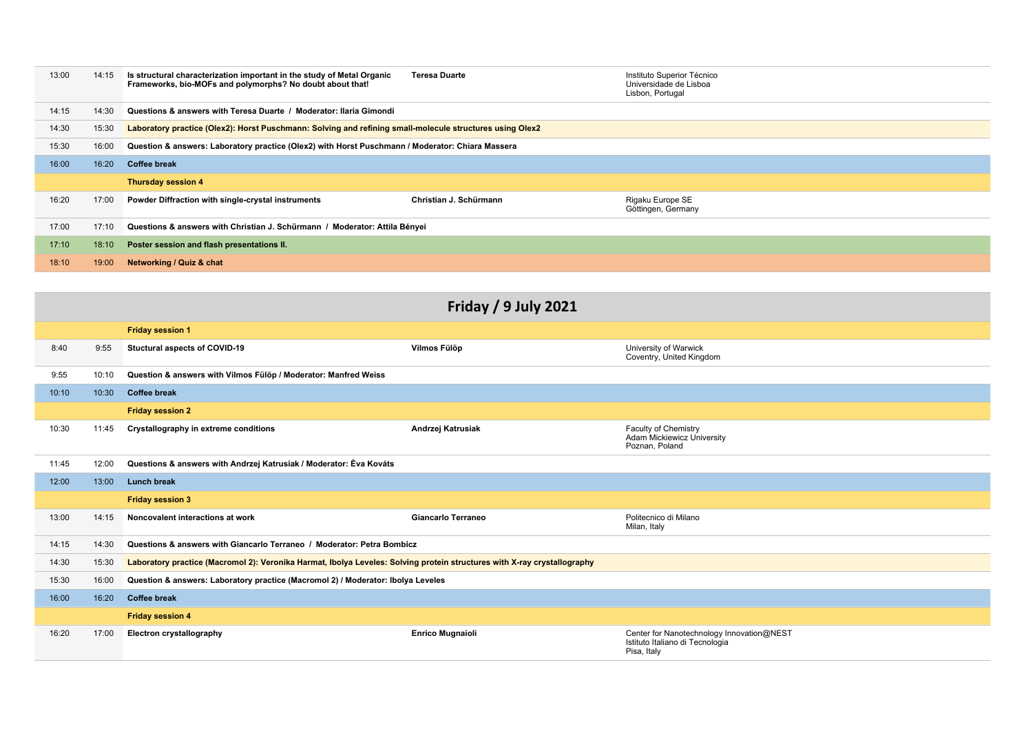| 13:00 | 14:15 | Is structural characterization important in the study of Metal Organic<br>Frameworks, bio-MOFs and polymorphs? No doubt about that! | <b>Teresa Duarte</b>   | Instituto Superior Técnico<br>Universidade de Lisboa<br>Lisbon, Portugal |
|-------|-------|-------------------------------------------------------------------------------------------------------------------------------------|------------------------|--------------------------------------------------------------------------|
| 14:15 | 14:30 | Questions & answers with Teresa Duarte / Moderator: Ilaria Gimondi                                                                  |                        |                                                                          |
| 14:30 | 15:30 | Laboratory practice (Olex2): Horst Puschmann: Solving and refining small-molecule structures using Olex2                            |                        |                                                                          |
| 15:30 | 16:00 | Question & answers: Laboratory practice (Olex2) with Horst Puschmann / Moderator: Chiara Massera                                    |                        |                                                                          |
| 16:00 | 16:20 | <b>Coffee break</b>                                                                                                                 |                        |                                                                          |
|       |       | <b>Thursday session 4</b>                                                                                                           |                        |                                                                          |
| 16:20 | 17:00 | Powder Diffraction with single-crystal instruments                                                                                  | Christian J. Schürmann | Rigaku Europe SE<br>Göttingen, Germany                                   |
| 17:00 | 17:10 | Questions & answers with Christian J. Schürmann / Moderator: Attila Bényei                                                          |                        |                                                                          |
| 17:10 | 18:10 | Poster session and flash presentations II.                                                                                          |                        |                                                                          |
| 18:10 | 19:00 | Networking / Quiz & chat                                                                                                            |                        |                                                                          |

|       | <b>Friday / 9 July 2021</b> |                                                                                                                          |                           |                                                                                             |  |  |
|-------|-----------------------------|--------------------------------------------------------------------------------------------------------------------------|---------------------------|---------------------------------------------------------------------------------------------|--|--|
|       |                             | <b>Friday session 1</b>                                                                                                  |                           |                                                                                             |  |  |
| 8:40  | 9:55                        | Stuctural aspects of COVID-19                                                                                            | Vilmos Fülöp              | University of Warwick<br>Coventry, United Kingdom                                           |  |  |
| 9:55  | 10:10                       | Question & answers with Vilmos Fülöp / Moderator: Manfred Weiss                                                          |                           |                                                                                             |  |  |
| 10:10 | 10:30                       | <b>Coffee break</b>                                                                                                      |                           |                                                                                             |  |  |
|       |                             | <b>Friday session 2</b>                                                                                                  |                           |                                                                                             |  |  |
| 10:30 | 11:45                       | Crystallography in extreme conditions                                                                                    | Andrzej Katrusiak         | Faculty of Chemistry<br>Adam Mickiewicz University<br>Poznan, Poland                        |  |  |
| 11:45 | 12:00                       | Questions & answers with Andrzej Katrusiak / Moderator: Éva Kováts                                                       |                           |                                                                                             |  |  |
| 12:00 | 13:00                       | <b>Lunch break</b>                                                                                                       |                           |                                                                                             |  |  |
|       |                             | <b>Friday session 3</b>                                                                                                  |                           |                                                                                             |  |  |
| 13:00 | 14:15                       | Noncovalent interactions at work                                                                                         | <b>Giancarlo Terraneo</b> | Politecnico di Milano<br>Milan, Italy                                                       |  |  |
| 14:15 | 14:30                       | Questions & answers with Giancarlo Terraneo / Moderator: Petra Bombicz                                                   |                           |                                                                                             |  |  |
| 14:30 | 15:30                       | Laboratory practice (Macromol 2): Veronika Harmat, Ibolya Leveles: Solving protein structures with X-ray crystallography |                           |                                                                                             |  |  |
| 15:30 | 16:00                       | Question & answers: Laboratory practice (Macromol 2) / Moderator: Ibolya Leveles                                         |                           |                                                                                             |  |  |
| 16:00 | 16:20                       | <b>Coffee break</b>                                                                                                      |                           |                                                                                             |  |  |
|       |                             | <b>Friday session 4</b>                                                                                                  |                           |                                                                                             |  |  |
| 16:20 | 17:00                       | <b>Electron crystallography</b>                                                                                          | <b>Enrico Mugnaioli</b>   | Center for Nanotechnology Innovation@NEST<br>Istituto Italiano di Tecnologia<br>Pisa, Italy |  |  |